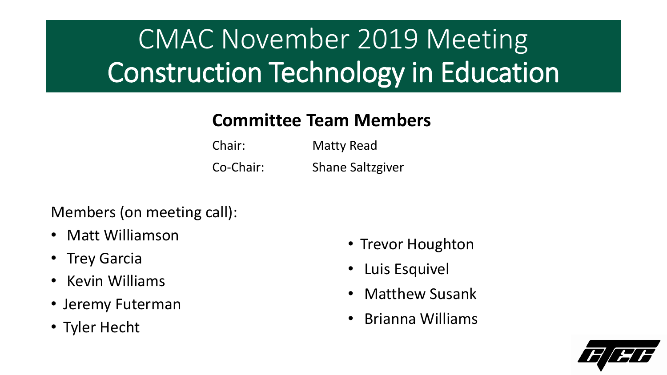# CMAC November 2019 Meeting Construction Technology in Education

### **Committee Team Members**

| Chair:    | Matty Read              |
|-----------|-------------------------|
| Co-Chair: | <b>Shane Saltzgiver</b> |

#### Members (on meeting call):

- Matt Williamson
- Trey Garcia
- Kevin Williams
- Jeremy Futerman
- Tyler Hecht
- Trevor Houghton
- Luis Esquivel
- Matthew Susank
- Brianna Williams

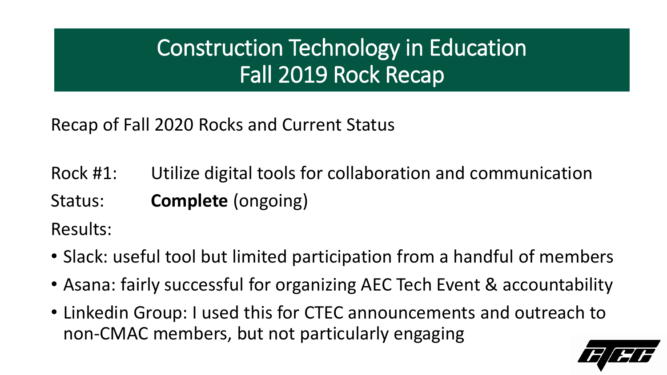Recap of Fall 2020 Rocks and Current Status

Rock #1: Utilize digital tools for collaboration and communication

Status: **Complete** (ongoing)

Results:

- Slack: useful tool but limited participation from a handful of members
- Asana: fairly successful for organizing AEC Tech Event & accountability
- Linkedin Group: I used this for CTEC announcements and outreach to non-CMAC members, but not particularly engaging

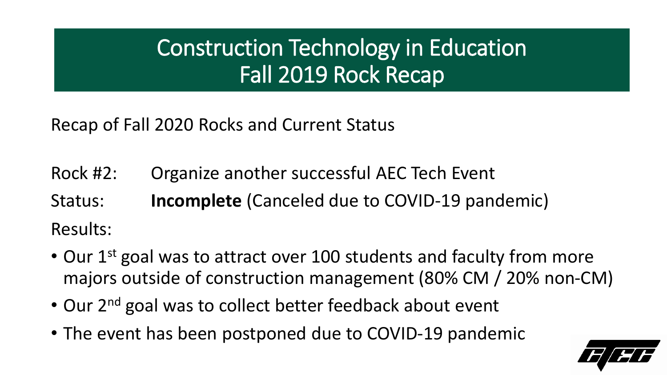Recap of Fall 2020 Rocks and Current Status

Rock #2: Organize another successful AEC Tech Event

Status: **Incomplete** (Canceled due to COVID-19 pandemic) Results:

- Our 1<sup>st</sup> goal was to attract over 100 students and faculty from more majors outside of construction management (80% CM / 20% non-CM)
- Our 2<sup>nd</sup> goal was to collect better feedback about event
- The event has been postponed due to COVID-19 pandemic

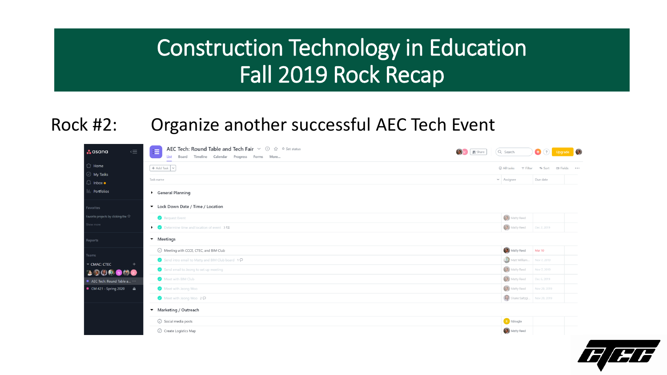#### Rock #2: Organize another successful AEC Tech Event

| $\overline{\overline{\Xi}}$<br>$\therefore$ asana                                                           | AEC Tech: Round Table and Tech Fair $\vee$ 1 $\circ$ $\circ$ $\circ$ Set status<br>津<br>Board Timeline Calendar Progress Forms More<br>List | Q Search<br>Share   | $\bigcirc$ $\bigcirc$      | $\bullet$            |
|-------------------------------------------------------------------------------------------------------------|---------------------------------------------------------------------------------------------------------------------------------------------|---------------------|----------------------------|----------------------|
| $\bigcirc$ Home                                                                                             | $+$ Add Task $  \vee  $                                                                                                                     | $\odot$ All tasks   | ↑↓ Sort<br>$\equiv$ Filter | <b>ID Fields •••</b> |
| $\odot$ My Tasks<br>$\bigcirc$ Inbox $\bullet$                                                              | Task name                                                                                                                                   | $\sim$ Assignee     | Due date                   |                      |
| III. Portfolios                                                                                             | General Planning                                                                                                                            |                     |                            |                      |
| Favorites                                                                                                   | ▼ Lock Down Date / Time / Location                                                                                                          |                     |                            |                      |
| Favorite projects by clicking the $\hat{\mathbb{W}}$                                                        | Request Event                                                                                                                               | <b>3</b> Matty Reed |                            |                      |
| Show more                                                                                                   | $\bullet$ Determine time and location of event $3\overline{5}$                                                                              | (2) Matty Reed      | Dec 2, 2019                |                      |
| Reports                                                                                                     | • Meetings                                                                                                                                  |                     |                            |                      |
| Teams                                                                                                       | ◯ Meeting with CCCE, CTEC, and BIM Club                                                                                                     | Matty Reed          | Mar 10                     |                      |
| CMAC: CTEC                                                                                                  | Send intro email to Matty and BIM Club board 10                                                                                             |                     | Matt William Nov 7, 2019   |                      |
| $\begin{array}{c} \textbf{1} & \textbf{9} & \textbf{0} \\ \textbf{1} & \textbf{1} & \textbf{1} \end{array}$ | Send email to Jeong to set up meeting                                                                                                       | Matty Reed          | Nov 7, 2019                |                      |
| AEC Tech: Round Table a                                                                                     | Meet with BIM Club                                                                                                                          | Matty Reed          | Dec 6, 2019                |                      |
| $\bullet$ CM 421 - Spring 2020<br>$\triangle$                                                               | Meet with Jeong Woo                                                                                                                         | (3) Matty Reed      | Nov 20, 2019               |                      |
|                                                                                                             | Meet with Jeong Woo 2D                                                                                                                      |                     | Shane Saltzgi Nov 20, 2019 |                      |
|                                                                                                             | ▼ Marketing / Outreach                                                                                                                      |                     |                            |                      |
|                                                                                                             | ◯ Social media posts                                                                                                                        | <b>It</b> Itdougla  |                            |                      |
|                                                                                                             | ◯ Create Logistics Map                                                                                                                      | Matty Reed          |                            |                      |

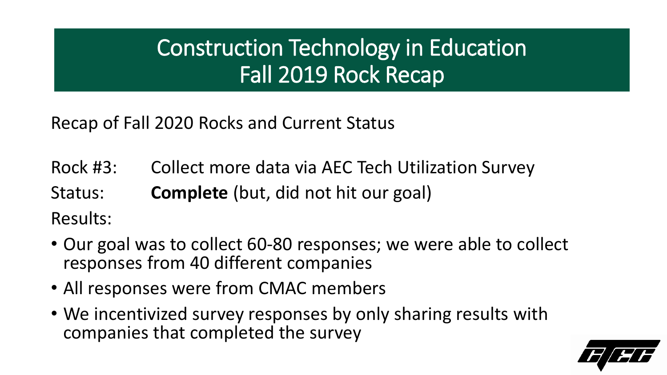Recap of Fall 2020 Rocks and Current Status

Rock #3: Collect more data via AEC Tech Utilization Survey Status: **Complete** (but, did not hit our goal) Results:

- Our goal was to collect 60-80 responses; we were able to collect responses from 40 different companies
- All responses were from CMAC members
- We incentivized survey responses by only sharing results with companies that completed the survey

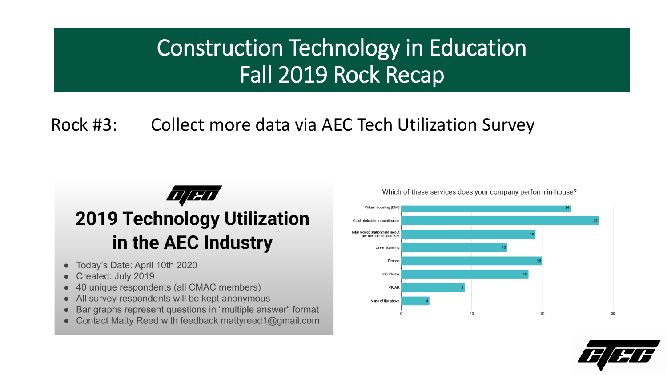### Rock #3: Collect more data via AEC Tech Utilization Survey



- Today's Date: April 10th 2020  $\bullet$
- Created: July 2019
- 40 unique respondents (all CMAC members)  $\qquad \qquad \bullet$
- All survey respondents will be kept anonymous  $\qquad \qquad \bullet$
- Bar graphs represent questions in "multiple answer" format  $\bullet$
- Contact Matty Reed with feedback mattyreed1@gmail.com

Which of these services does your company perform in-house?